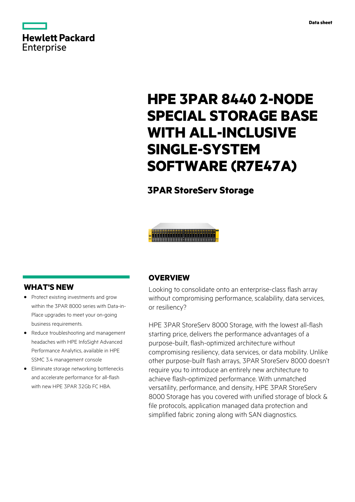

# **HPE 3PAR 8440 2-NODE SPECIAL STORAGE BASE WITH ALL-INCLUSIVE SINGLE-SYSTEM SOFTWARE (R7E47A)**

### **3PAR StoreServ Storage**



### **WHAT'S NEW**

- **·** Protect existing investments and grow within the 3PAR 8000 series with Data-in-Place upgrades to meet your on-going business requirements.
- **·** Reduce troubleshooting and management headaches with HPE InfoSight Advanced Performance Analytics, available in HPE SSMC 3.4 management console
- **·** Eliminate storage networking bottlenecks and accelerate performance for all-flash with new HPE 3PAR 32Gb FC HBA.

### **OVERVIEW**

Looking to consolidate onto an enterprise-class flash array without compromising performance, scalability, data services, or resiliency?

HPE 3PAR StoreServ 8000 Storage, with the lowest all-flash starting price, delivers the performance advantages of a purpose-built, flash-optimized architecture without compromising resiliency, data services, or data mobility. Unlike other purpose-built flash arrays, 3PAR StoreServ 8000 doesn't require you to introduce an entirely new architecture to achieve flash-optimized performance. With unmatched versatility, performance, and density, HPE 3PAR StoreServ 8000 Storage has you covered with unified storage of block & file protocols, application managed data protection and simplified fabric zoning along with SAN diagnostics.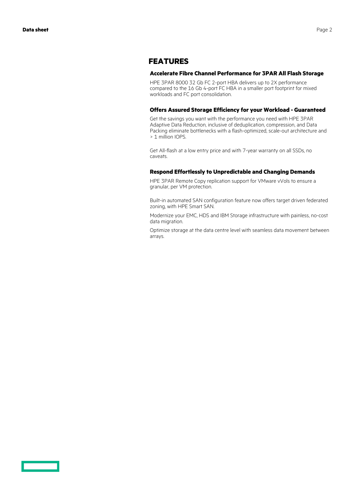### **FEATURES**

#### **Accelerate Fibre Channel Performance for 3PAR All Flash Storage**

HPE 3PAR 8000 32 Gb FC 2-port HBA delivers up to 2X performance compared to the 16 Gb 4-port FC HBA in a smaller port footprint for mixed workloads and FC port consolidation.

#### **Offers Assured Storage Efficiency for your Workload - Guaranteed**

Get the savings you want with the performance you need with HPE 3PAR Adaptive Data Reduction, inclusive of deduplication, compression, and Data Packing eliminate bottlenecks with a flash-optimized, scale-out architecture and > 1 million IOPS.

Get All-flash at a low entry price and with 7-year warranty on all SSDs, no caveats.

#### **Respond Effortlessly to Unpredictable and Changing Demands**

HPE 3PAR Remote Copy replication support for VMware vVols to ensure a granular, per VM protection.

Built-in automated SAN configuration feature now offers target driven federated zoning, with HPE Smart SAN.

Modernize your EMC, HDS and IBM Storage infrastructure with painless, no-cost data migration.

Optimize storage at the data centre level with seamless data movement between arrays.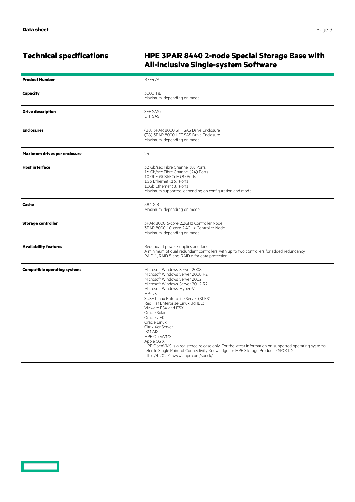$\overline{\phantom{0}}$ 

### **Technical specifications HPE 3PAR 8440 2-node Special Storage Base with All-inclusive Single-system Software**

| <b>Product Number</b>               | <b>R7E47A</b>                                                                                                                                                                                                                                                                                                                                                                                                                                                                                                                                                                                                                      |
|-------------------------------------|------------------------------------------------------------------------------------------------------------------------------------------------------------------------------------------------------------------------------------------------------------------------------------------------------------------------------------------------------------------------------------------------------------------------------------------------------------------------------------------------------------------------------------------------------------------------------------------------------------------------------------|
| Capacity                            | 3000 TiB<br>Maximum, depending on model                                                                                                                                                                                                                                                                                                                                                                                                                                                                                                                                                                                            |
| <b>Drive description</b>            | SFF SAS or<br><b>LFF SAS</b>                                                                                                                                                                                                                                                                                                                                                                                                                                                                                                                                                                                                       |
| <b>Enclosures</b>                   | (38) 3PAR 8000 SFF SAS Drive Enclosure<br>(38) 3PAR 8000 LFF SAS Drive Enclosure<br>Maximum, depending on model.                                                                                                                                                                                                                                                                                                                                                                                                                                                                                                                   |
| Maximum drives per enclosure        | 24                                                                                                                                                                                                                                                                                                                                                                                                                                                                                                                                                                                                                                 |
| <b>Host interface</b>               | 32 Gb/sec Fibre Channel (8) Ports<br>16 Gb/sec Fibre Channel (24) Ports<br>10 GbE iSCSI/FCoE (8) Ports<br>1Gb Ethernet (16) Ports<br>10Gb Ethernet (8) Ports<br>Maximum supported, depending on configuration and model                                                                                                                                                                                                                                                                                                                                                                                                            |
| Cache                               | 384 GiB<br>Maximum, depending on model                                                                                                                                                                                                                                                                                                                                                                                                                                                                                                                                                                                             |
| <b>Storage controller</b>           | 3PAR 8000 6-core 2.2GHz Controller Node<br>3PAR 8000 10-core 2.4GHz Controller Node<br>Maximum, depending on model                                                                                                                                                                                                                                                                                                                                                                                                                                                                                                                 |
| <b>Availability features</b>        | Redundant power supplies and fans<br>A minimum of dual redundant controllers, with up to two controllers for added redundancy<br>RAID 1, RAID 5 and RAID 6 for data protection.                                                                                                                                                                                                                                                                                                                                                                                                                                                    |
| <b>Compatible operating systems</b> | Microsoft Windows Server 2008<br>Microsoft Windows Server 2008 R2<br>Microsoft Windows Server 2012<br>Microsoft Windows Server 2012 R2<br>Microsoft Windows Hyper-V<br>HP-UX<br>SUSE Linux Enterprise Server (SLES)<br>Red Hat Enterprise Linux (RHEL)<br>VMware ESX and ESXi<br>Oracle Solaris<br>Oracle UEK<br>Oracle Linux<br>Citrix XenServer<br><b>IBM AIX</b><br>HPE OpenVMS<br>Apple OS X<br>HPE OpenVMS is a registered release only. For the latest information on supported operating systems<br>refer to Single Point of Connectivity Knowledge for HPE Storage Products (SPOCK):<br>https://h20272.www2.hpe.com/spock/ |